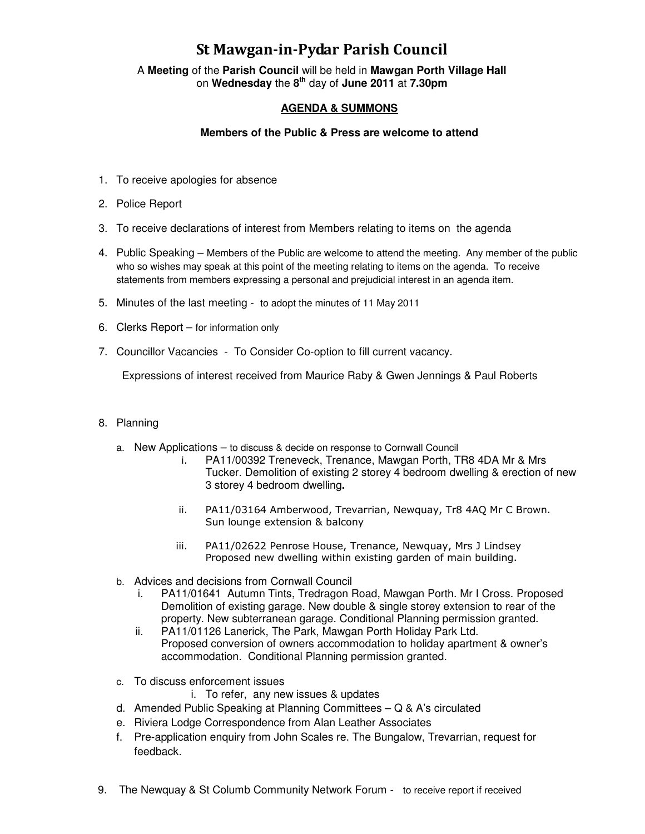# St Mawgan-in-Pydar Parish Council

A **Meeting** of the **Parish Council** will be held in **Mawgan Porth Village Hall** on **Wednesday** the **8th** day of **June 2011** at **7.30pm** 

## **AGENDA & SUMMONS**

#### **Members of the Public & Press are welcome to attend**

- 1. To receive apologies for absence
- 2. Police Report
- 3. To receive declarations of interest from Members relating to items on the agenda
- 4. Public Speaking Members of the Public are welcome to attend the meeting. Any member of the public who so wishes may speak at this point of the meeting relating to items on the agenda. To receive statements from members expressing a personal and prejudicial interest in an agenda item.
- 5. Minutes of the last meeting to adopt the minutes of 11 May 2011
- 6. Clerks Report for information only
- 7. Councillor Vacancies To Consider Co-option to fill current vacancy.

Expressions of interest received from Maurice Raby & Gwen Jennings & Paul Roberts

#### 8. Planning

- a. New Applications to discuss & decide on response to Cornwall Council
	- i. PA11/00392 Treneveck, Trenance, Mawgan Porth, TR8 4DA Mr & Mrs Tucker. Demolition of existing 2 storey 4 bedroom dwelling & erection of new 3 storey 4 bedroom dwelling**.**
	- ii. PA11/03164 Amberwood, Trevarrian, Newquay, Tr8 4AQ Mr C Brown. Sun lounge extension & balcony
	- iii. PA11/02622 Penrose House, Trenance, Newquay, Mrs J Lindsey Proposed new dwelling within existing garden of main building.
- b. Advices and decisions from Cornwall Council
	- i. PA11/01641 Autumn Tints, Tredragon Road, Mawgan Porth. Mr I Cross. Proposed Demolition of existing garage. New double & single storey extension to rear of the property. New subterranean garage. Conditional Planning permission granted.
	- ii. PA11/01126 Lanerick, The Park, Mawgan Porth Holiday Park Ltd. Proposed conversion of owners accommodation to holiday apartment & owner's accommodation. Conditional Planning permission granted.
- c. To discuss enforcement issues
	- i. To refer, any new issues & updates
- d. Amended Public Speaking at Planning Committees Q & A's circulated
- e. Riviera Lodge Correspondence from Alan Leather Associates
- f. Pre-application enquiry from John Scales re. The Bungalow, Trevarrian, request for feedback.
- 9. The Newquay & St Columb Community Network Forum to receive report if received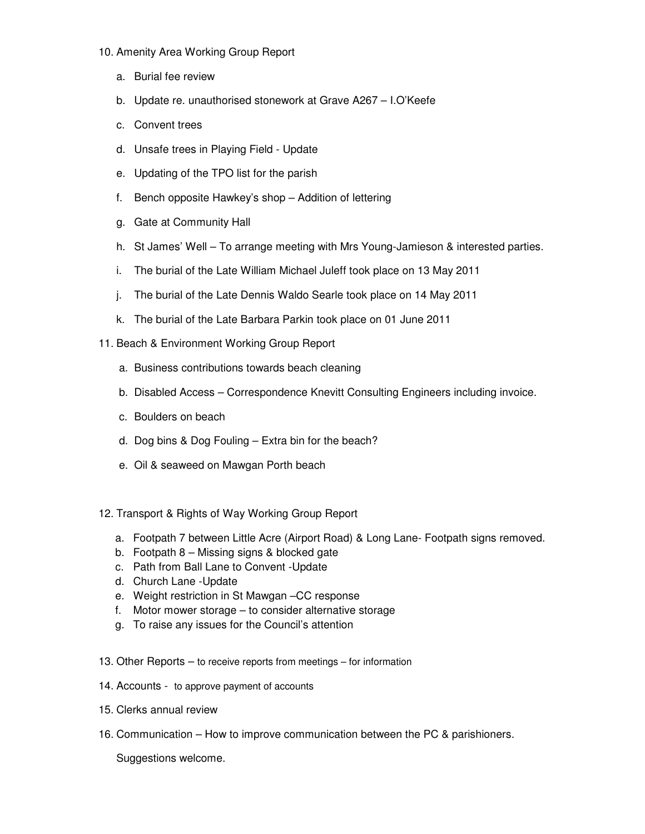- 10. Amenity Area Working Group Report
	- a. Burial fee review
	- b. Update re. unauthorised stonework at Grave A267 I.O'Keefe
	- c. Convent trees
	- d. Unsafe trees in Playing Field Update
	- e. Updating of the TPO list for the parish
	- f. Bench opposite Hawkey's shop Addition of lettering
	- g. Gate at Community Hall
	- h. St James' Well To arrange meeting with Mrs Young-Jamieson & interested parties.
	- i. The burial of the Late William Michael Juleff took place on 13 May 2011
	- j. The burial of the Late Dennis Waldo Searle took place on 14 May 2011
	- k. The burial of the Late Barbara Parkin took place on 01 June 2011
- 11. Beach & Environment Working Group Report
	- a. Business contributions towards beach cleaning
	- b. Disabled Access Correspondence Knevitt Consulting Engineers including invoice.
	- c. Boulders on beach
	- d. Dog bins & Dog Fouling Extra bin for the beach?
	- e. Oil & seaweed on Mawgan Porth beach
- 12. Transport & Rights of Way Working Group Report
	- a. Footpath 7 between Little Acre (Airport Road) & Long Lane- Footpath signs removed.
	- b. Footpath 8 Missing signs & blocked gate
	- c. Path from Ball Lane to Convent -Update
	- d. Church Lane -Update
	- e. Weight restriction in St Mawgan –CC response
	- f. Motor mower storage to consider alternative storage
	- g. To raise any issues for the Council's attention
- 13. Other Reports to receive reports from meetings for information
- 14. Accounts to approve payment of accounts
- 15. Clerks annual review
- 16. Communication How to improve communication between the PC & parishioners.

Suggestions welcome.